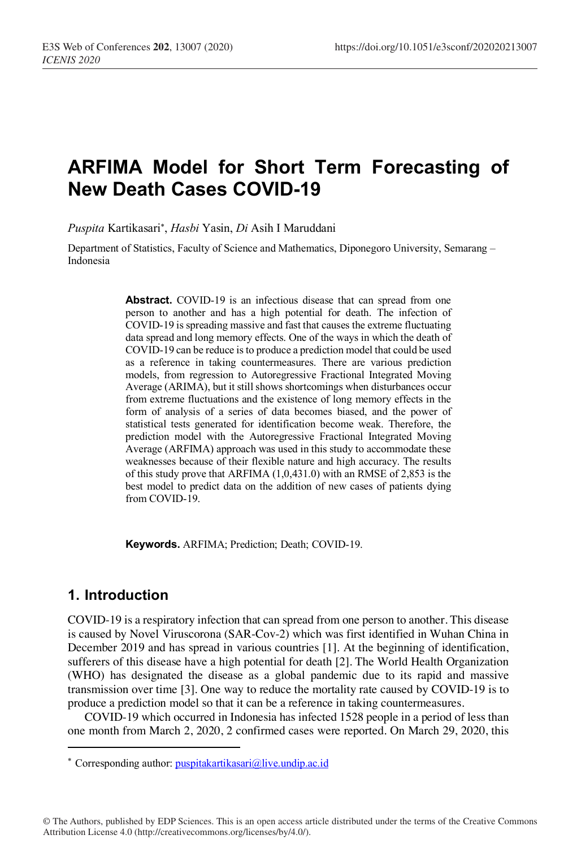# **ARFIMA Model for Short Term Forecasting of New Death Cases COVID-19**

*Puspita* Kartikasari\* , *Hasbi* Yasin, *Di* Asih I Maruddani

Department of Statistics, Faculty of Science and Mathematics, Diponegoro University, Semarang – Indonesia

> Abstract. COVID-19 is an infectious disease that can spread from one person to another and has a high potential for death. The infection of COVID-19 is spreading massive and fast that causes the extreme fluctuating data spread and long memory effects. One of the ways in which the death of COVID-19 can be reduce is to produce a prediction model that could be used as a reference in taking countermeasures. There are various prediction models, from regression to Autoregressive Fractional Integrated Moving Average (ARIMA), but it still shows shortcomings when disturbances occur from extreme fluctuations and the existence of long memory effects in the form of analysis of a series of data becomes biased, and the power of statistical tests generated for identification become weak. Therefore, the prediction model with the Autoregressive Fractional Integrated Moving Average (ARFIMA) approach was used in this study to accommodate these weaknesses because of their flexible nature and high accuracy. The results of this study prove that ARFIMA (1,0,431.0) with an RMSE of 2,853 is the best model to predict data on the addition of new cases of patients dying from COVID-19.

**Keywords.** ARFIMA; Prediction; Death; COVID-19.

# **1. Introduction**

I

COVID-19 is a respiratory infection that can spread from one person to another. This disease is caused by Novel Viruscorona (SAR-Cov-2) which was first identified in Wuhan China in December 2019 and has spread in various countries [1]. At the beginning of identification, sufferers of this disease have a high potential for death [2]. The World Health Organization (WHO) has designated the disease as a global pandemic due to its rapid and massive transmission over time [3]. One way to reduce the mortality rate caused by COVID-19 is to produce a prediction model so that it can be a reference in taking countermeasures.

COVID-19 which occurred in Indonesia has infected 1528 people in a period of less than one month from March 2, 2020, 2 confirmed cases were reported. On March 29, 2020, this

© The Authors, published by EDP Sciences. This is an open access article distributed under the terms of the Creative Commons Attribution License 4.0 (http://creativecommons.org/licenses/by/4.0/).

<sup>\*</sup> Corresponding author: puspitakartikasari@live.undip.ac.id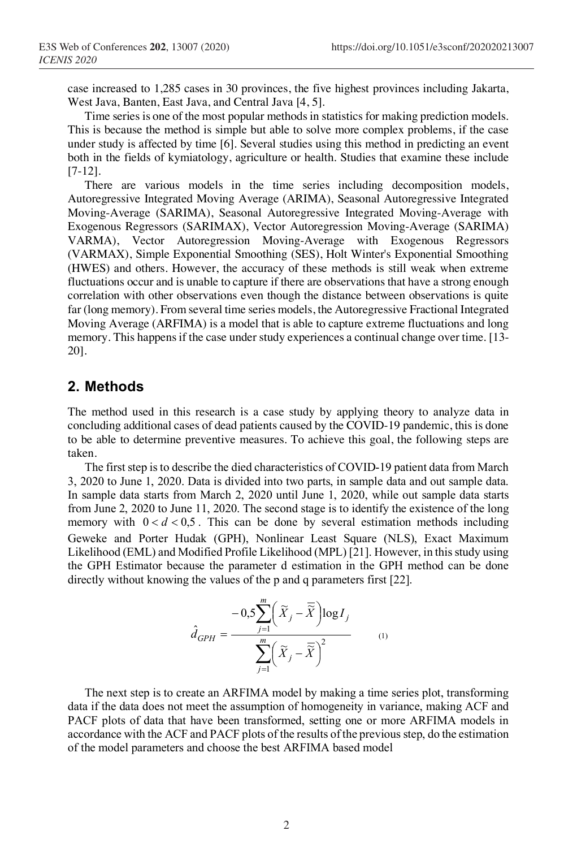case increased to 1,285 cases in 30 provinces, the five highest provinces including Jakarta, West Java, Banten, East Java, and Central Java [4, 5].

Time series is one of the most popular methods in statistics for making prediction models. This is because the method is simple but able to solve more complex problems, if the case under study is affected by time [6]. Several studies using this method in predicting an event both in the fields of kymiatology, agriculture or health. Studies that examine these include [7-12].

There are various models in the time series including decomposition models, Autoregressive Integrated Moving Average (ARIMA), Seasonal Autoregressive Integrated Moving-Average (SARIMA), Seasonal Autoregressive Integrated Moving-Average with Exogenous Regressors (SARIMAX), Vector Autoregression Moving-Average (SARIMA) VARMA), Vector Autoregression Moving-Average with Exogenous Regressors (VARMAX), Simple Exponential Smoothing (SES), Holt Winter's Exponential Smoothing (HWES) and others. However, the accuracy of these methods is still weak when extreme fluctuations occur and is unable to capture if there are observations that have a strong enough correlation with other observations even though the distance between observations is quite far (long memory). From several time series models, the Autoregressive Fractional Integrated Moving Average (ARFIMA) is a model that is able to capture extreme fluctuations and long memory. This happens if the case under study experiences a continual change over time. [13- 20].

## **2. Methods**

The method used in this research is a case study by applying theory to analyze data in concluding additional cases of dead patients caused by the COVID-19 pandemic, this is done to be able to determine preventive measures. To achieve this goal, the following steps are taken.

The first step is to describe the died characteristics of COVID-19 patient data from March 3, 2020 to June 1, 2020. Data is divided into two parts, in sample data and out sample data. In sample data starts from March 2, 2020 until June 1, 2020, while out sample data starts from June 2, 2020 to June 11, 2020. The second stage is to identify the existence of the long memory with  $0 < d < 0.5$ . This can be done by several estimation methods including Geweke and Porter Hudak (GPH), Nonlinear Least Square (NLS), Exact Maximum Likelihood (EML) and Modified Profile Likelihood (MPL) [21]. However, in this study using the GPH Estimator because the parameter d estimation in the GPH method can be done directly without knowing the values of the p and q parameters first [22].

$$
\hat{d}_{GPH} = \frac{-0.5 \sum_{j=1}^{m} \left( \widetilde{X}_j - \overline{\widetilde{X}} \right) \log I_j}{\sum_{j=1}^{m} \left( \widetilde{X}_j - \overline{\widetilde{X}} \right)^2}
$$
 (1)

The next step is to create an ARFIMA model by making a time series plot, transforming data if the data does not meet the assumption of homogeneity in variance, making ACF and PACF plots of data that have been transformed, setting one or more ARFIMA models in accordance with the ACF and PACF plots of the results of the previous step, do the estimation of the model parameters and choose the best ARFIMA based model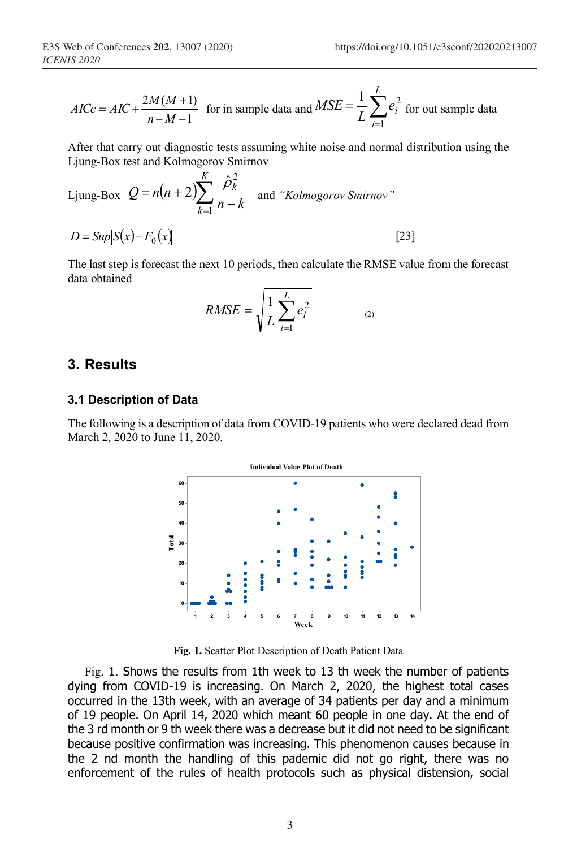$$
AICc = AIC + \frac{2M(M+1)}{n-M-1}
$$
 for in sample data and  $MSE = \frac{1}{L} \sum_{i=1}^{L} e_i^2$  for out sample data

After that carry out diagnostic tests assuming white noise and normal distribution using the Ljung-Box test and Kolmogorov Smirnov

Ljung-Box 
$$
Q = n(n+2) \sum_{k=1}^{K} \frac{\hat{\rho}_k^2}{n-k}
$$
 and "*Kolmogorov Smirnov*"  
\n $D = Sup|S(x) - F_0(x)|$  [23]

The last step is forecast the next 10 periods, then calculate the RMSE value from the forecast data obtained

$$
RMSE = \sqrt{\frac{1}{L} \sum_{i=1}^{L} e_i^2}
$$
 (2)

#### **3. Results**

#### **3.1 Description of Data**

The following is a description of data from COVID-19 patients who were declared dead from March 2, 2020 to June 11, 2020.



**Fig. 1.** Scatter Plot Description of Death Patient Data

Fig. 1. Shows the results from 1th week to 13 th week the number of patients dying from COVID-19 is increasing. On March 2, 2020, the highest total cases occurred in the 13th week, with an average of 34 patients per day and a minimum of 19 people. On April 14, 2020 which meant 60 people in one day. At the end of the 3 rd month or 9 th week there was a decrease but it did not need to be significant because positive confirmation was increasing. This phenomenon causes because in the 2 nd month the handling of this pademic did not go right, there was no enforcement of the rules of health protocols such as physical distension, social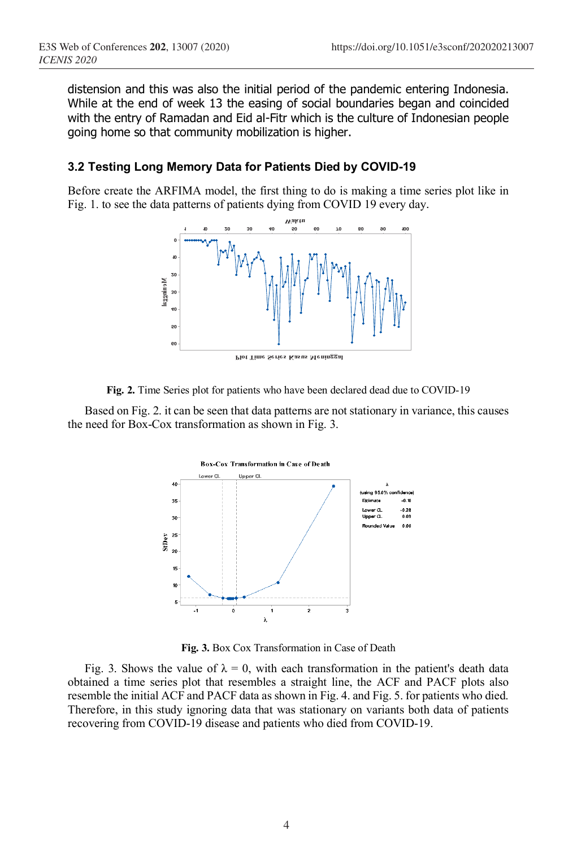distension and this was also the initial period of the pandemic entering Indonesia. While at the end of week 13 the easing of social boundaries began and coincided with the entry of Ramadan and Eid al-Fitr which is the culture of Indonesian people going home so that community mobilization is higher.

### **3.2 Testing Long Memory Data for Patients Died by COVID-19**

Before create the ARFIMA model, the first thing to do is making a time series plot like in Fig. 1. to see the data patterns of patients dying from COVID 19 every day.



**Fig. 2.** Time Series plot for patients who have been declared dead due to COVID-19

Based on Fig. 2. it can be seen that data patterns are not stationary in variance, this causes the need for Box-Cox transformation as shown in Fig. 3.



**Fig. 3.** Box Cox Transformation in Case of Death

Fig. 3. Shows the value of  $\lambda = 0$ , with each transformation in the patient's death data obtained a time series plot that resembles a straight line, the ACF and PACF plots also resemble the initial ACF and PACF data as shown in Fig. 4. and Fig. 5. for patients who died. Therefore, in this study ignoring data that was stationary on variants both data of patients recovering from COVID-19 disease and patients who died from COVID-19.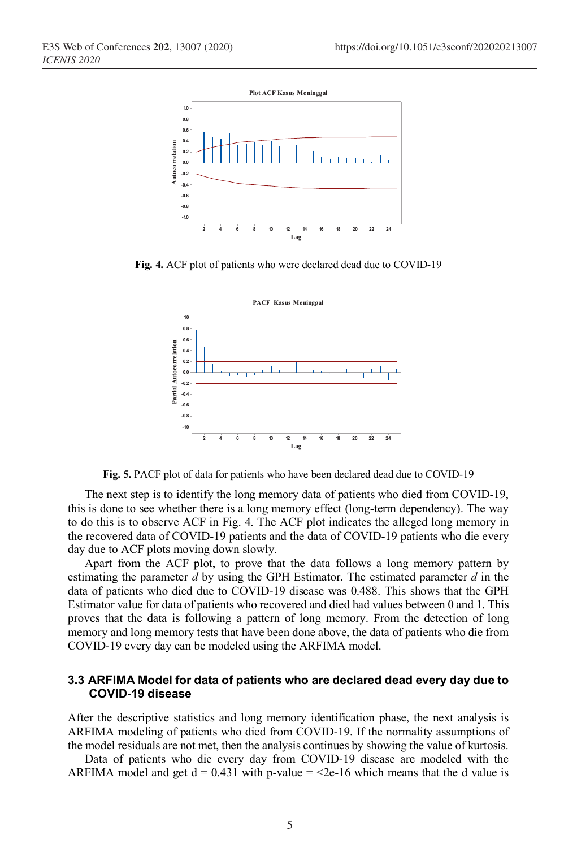

**Fig. 4.** ACF plot of patients who were declared dead due to COVID-19



**Fig. 5.** PACF plot of data for patients who have been declared dead due to COVID-19

The next step is to identify the long memory data of patients who died from COVID-19, this is done to see whether there is a long memory effect (long-term dependency). The way to do this is to observe ACF in Fig. 4. The ACF plot indicates the alleged long memory in the recovered data of COVID-19 patients and the data of COVID-19 patients who die every day due to ACF plots moving down slowly.

Apart from the ACF plot, to prove that the data follows a long memory pattern by estimating the parameter *d* by using the GPH Estimator. The estimated parameter *d* in the data of patients who died due to COVID-19 disease was 0.488. This shows that the GPH Estimator value for data of patients who recovered and died had values between 0 and 1. This proves that the data is following a pattern of long memory. From the detection of long memory and long memory tests that have been done above, the data of patients who die from COVID-19 every day can be modeled using the ARFIMA model.

#### **3.3 ARFIMA Model for data of patients who are declared dead every day due to COVID-19 disease**

After the descriptive statistics and long memory identification phase, the next analysis is ARFIMA modeling of patients who died from COVID-19. If the normality assumptions of the model residuals are not met, then the analysis continues by showing the value of kurtosis.

Data of patients who die every day from COVID-19 disease are modeled with the ARFIMA model and get  $d = 0.431$  with p-value =  $\leq 2e-16$  which means that the d value is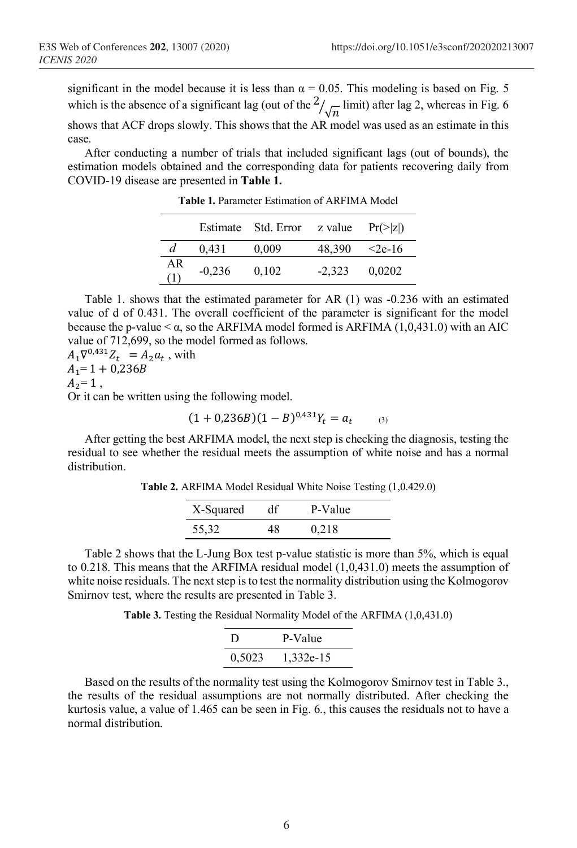significant in the model because it is less than  $\alpha = 0.05$ . This modeling is based on Fig. 5 which is the absence of a significant lag (out of the  $\frac{2}{\sqrt{n}}$  limit) after lag 2, whereas in Fig. 6

shows that ACF drops slowly. This shows that the AR model was used as an estimate in this case.

After conducting a number of trials that included significant lags (out of bounds), the estimation models obtained and the corresponding data for patients recovering daily from COVID-19 disease are presented in **Table 1.**

|           |          | Estimate Std. Error z value $Pr(>\vert z \vert)$ |          |           |
|-----------|----------|--------------------------------------------------|----------|-----------|
|           | 0.431    | 0,009                                            | 48.390   | $<$ 2e-16 |
| AR<br>(1) | $-0,236$ | 0.102                                            | $-2,323$ | 0.0202    |

**Table 1.** Parameter Estimation of ARFIMA Model

Table 1. shows that the estimated parameter for AR (1) was -0.236 with an estimated value of d of 0.431. The overall coefficient of the parameter is significant for the model because the p-value  $< \alpha$ , so the ARFIMA model formed is ARFIMA (1,0,431.0) with an AIC value of 712,699, so the model formed as follows.

 $A_1 \nabla^{0,431} Z_t = A_2 a_t$ , with  $A_1 = 1 + 0,236B$  $A_2 = 1$ ,

Or it can be written using the following model.

$$
(1+0,236B)(1-B)^{0,431}Y_t = a_t
$$
 (3)

After getting the best ARFIMA model, the next step is checking the diagnosis, testing the residual to see whether the residual meets the assumption of white noise and has a normal distribution.

**Table 2.** ARFIMA Model Residual White Noise Testing (1,0.429.0)

| X-Squared | df | P-Value |  |
|-----------|----|---------|--|
| 55,32     | 48 | 0.218   |  |

Table 2 shows that the L-Jung Box test p-value statistic is more than 5%, which is equal to 0.218. This means that the ARFIMA residual model (1,0,431.0) meets the assumption of white noise residuals. The next step is to test the normality distribution using the Kolmogorov Smirnov test, where the results are presented in Table 3.

**Table 3.** Testing the Residual Normality Model of the ARFIMA (1,0,431.0)

| Ð      | P-Value   |
|--------|-----------|
| 0,5023 | 1,332e-15 |

Based on the results of the normality test using the Kolmogorov Smirnov test in Table 3., the results of the residual assumptions are not normally distributed. After checking the kurtosis value, a value of 1.465 can be seen in Fig. 6., this causes the residuals not to have a normal distribution.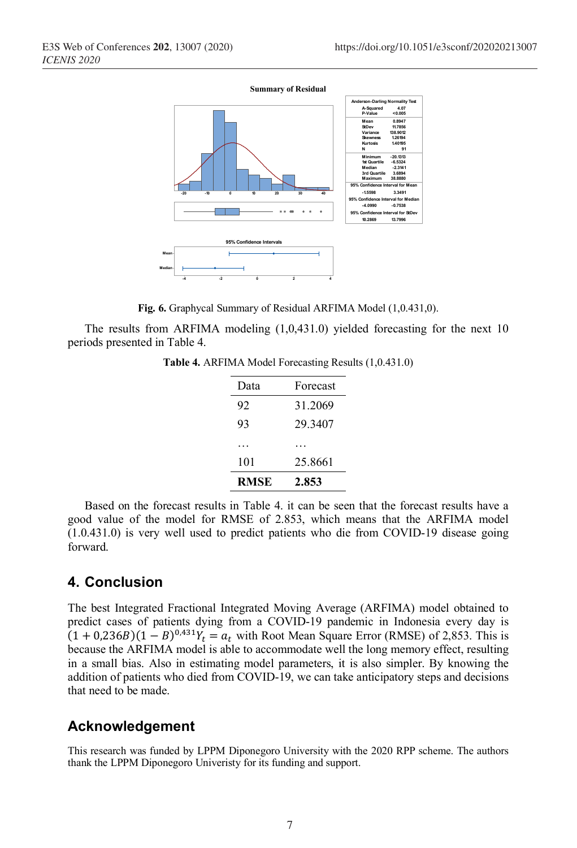

**Fig. 6.** Graphycal Summary of Residual ARFIMA Model (1,0.431,0).

The results from ARFIMA modeling (1,0,431.0) yielded forecasting for the next 10 periods presented in Table 4.

**Table 4.** ARFIMA Model Forecasting Results (1,0.431.0)

| Data        | Forecast |
|-------------|----------|
| 92          | 31.2069  |
| 93          | 29.3407  |
|             |          |
| 101         | 25 8661  |
| <b>RMSE</b> | 2.853    |

Based on the forecast results in Table 4. it can be seen that the forecast results have a good value of the model for RMSE of 2.853, which means that the ARFIMA model (1.0.431.0) is very well used to predict patients who die from COVID-19 disease going forward.

# **4. Conclusion**

The best Integrated Fractional Integrated Moving Average (ARFIMA) model obtained to predict cases of patients dying from a COVID-19 pandemic in Indonesia every day is  $(1 + 0.236B)(1 - B)^{0.431}Y_t = a_t$  with Root Mean Square Error (RMSE) of 2,853. This is because the ARFIMA model is able to accommodate well the long memory effect, resulting in a small bias. Also in estimating model parameters, it is also simpler. By knowing the addition of patients who died from COVID-19, we can take anticipatory steps and decisions that need to be made.

# **Acknowledgement**

This research was funded by LPPM Diponegoro University with the 2020 RPP scheme. The authors thank the LPPM Diponegoro Univeristy for its funding and support.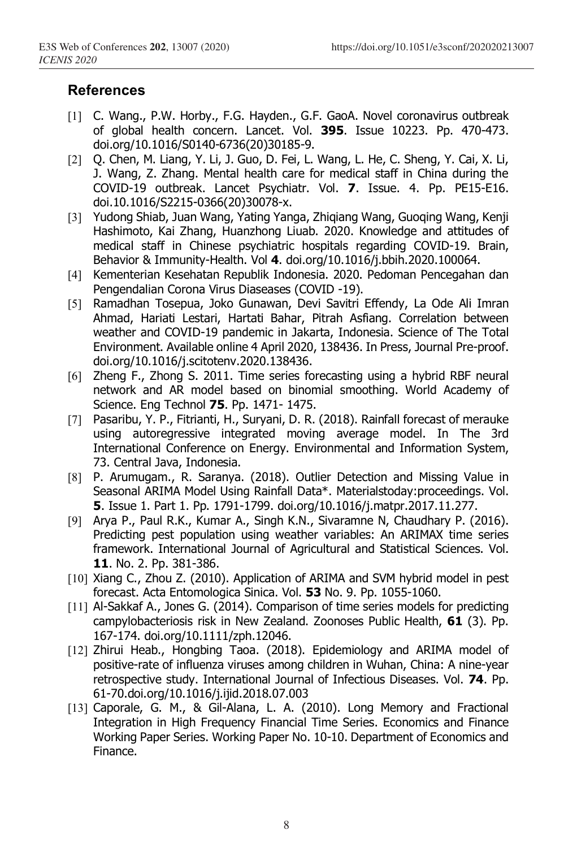# **References**

- [1] C. Wang., P.W. Horby., F.G. Hayden., G.F. GaoA. Novel coronavirus outbreak of global health concern. Lancet. Vol. **395**. Issue 10223. Pp. 470-473. doi.org/10.1016/S0140-6736(20)30185-9.
- [2] Q. Chen, M. Liang, Y. Li, J. Guo, D. Fei, L. Wang, L. He, C. Sheng, Y. Cai, X. Li, J. Wang, Z. Zhang. Mental health care for medical staff in China during the COVID-19 outbreak. Lancet Psychiatr. Vol. **7**. Issue. 4. Pp. PE15-E16. doi.10.1016/S2215-0366(20)30078-x.
- [3] Yudong Shiab, Juan Wang, Yating Yanga, Zhiqiang Wang, Guoqing Wang, Kenji Hashimoto, Kai Zhang, Huanzhong Liuab. 2020. Knowledge and attitudes of medical staff in Chinese psychiatric hospitals regarding COVID-19. Brain, Behavior & Immunity-Health. Vol **4**. doi.org/10.1016/j.bbih.2020.100064.
- [4] Kementerian Kesehatan Republik Indonesia. 2020. Pedoman Pencegahan dan Pengendalian Corona Virus Diaseases (COVID -19).
- [5] Ramadhan Tosepua, Joko Gunawan, Devi Savitri Effendy, La Ode Ali Imran Ahmad, Hariati Lestari, Hartati Bahar, Pitrah Asfiang. Correlation between weather and COVID-19 pandemic in Jakarta, Indonesia. Science of The Total Environment. Available online 4 April 2020, 138436. In Press, Journal Pre-proof. doi.org/10.1016/j.scitotenv.2020.138436.
- [6] Zheng F., Zhong S. 2011. Time series forecasting using a hybrid RBF neural network and AR model based on binomial smoothing. World Academy of Science. Eng Technol **75**. Pp. 1471- 1475.
- [7] Pasaribu, Y. P., Fitrianti, H., Suryani, D. R. (2018). Rainfall forecast of merauke using autoregressive integrated moving average model. In The 3rd International Conference on Energy. Environmental and Information System, 73. Central Java, Indonesia.
- [8] P. Arumugam., R. Saranya. (2018). Outlier Detection and Missing Value in Seasonal ARIMA Model Using Rainfall Data\*. Materialstoday:proceedings. Vol. **5**. Issue 1. Part 1. Pp. 1791-1799. doi.org/10.1016/j.matpr.2017.11.277.
- [9] Arya P., Paul R.K., Kumar A., Singh K.N., Sivaramne N, Chaudhary P. (2016). Predicting pest population using weather variables: An ARIMAX time series framework. International Journal of Agricultural and Statistical Sciences. Vol. **11**. No. 2. Pp. 381-386.
- [10] Xiang C., Zhou Z. (2010). Application of ARIMA and SVM hybrid model in pest forecast. Acta Entomologica Sinica. Vol. **53** No. 9. Pp. 1055-1060.
- [11] Al-Sakkaf A., Jones G. (2014). Comparison of time series models for predicting campylobacteriosis risk in New Zealand. Zoonoses Public Health, **61** (3). Pp. 167-174. doi.org/10.1111/zph.12046.
- [12] Zhirui Heab., Hongbing Taoa. (2018). Epidemiology and ARIMA model of positive-rate of influenza viruses among children in Wuhan, China: A nine-year retrospective study. International Journal of Infectious Diseases. Vol. **74**. Pp. 61-70.doi.org/10.1016/j.ijid.2018.07.003
- [13] Caporale, G. M., & Gil-Alana, L. A. (2010). Long Memory and Fractional Integration in High Frequency Financial Time Series. Economics and Finance Working Paper Series. Working Paper No. 10-10. Department of Economics and Finance.